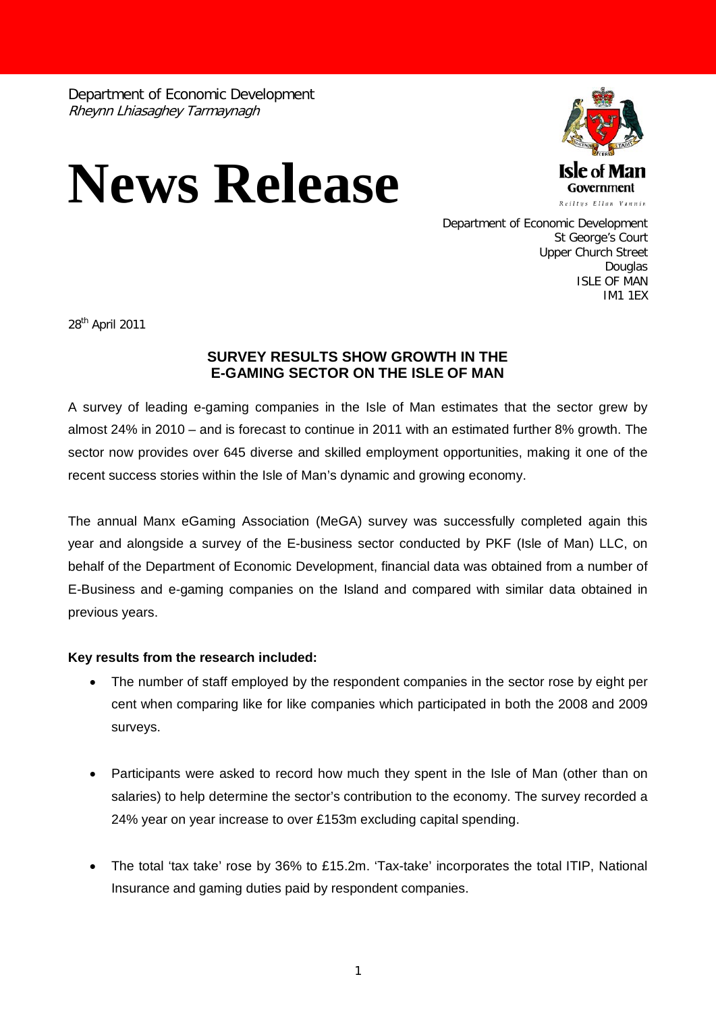Department of Economic Development Rheynn Lhiasaghey Tarmaynagh

## **News Release**



Department of Economic Development St George's Court Upper Church Street Douglas ISLE OF MAN IM1 1EX

28th April 2011

## **SURVEY RESULTS SHOW GROWTH IN THE E-GAMING SECTOR ON THE ISLE OF MAN**

A survey of leading e-gaming companies in the Isle of Man estimates that the sector grew by almost 24% in 2010 – and is forecast to continue in 2011 with an estimated further 8% growth. The sector now provides over 645 diverse and skilled employment opportunities, making it one of the recent success stories within the Isle of Man's dynamic and growing economy.

The annual Manx eGaming Association (MeGA) survey was successfully completed again this year and alongside a survey of the E-business sector conducted by PKF (Isle of Man) LLC, on behalf of the Department of Economic Development, financial data was obtained from a number of E-Business and e-gaming companies on the Island and compared with similar data obtained in previous years.

## **Key results from the research included:**

- The number of staff employed by the respondent companies in the sector rose by eight per cent when comparing like for like companies which participated in both the 2008 and 2009 surveys.
- Participants were asked to record how much they spent in the Isle of Man (other than on salaries) to help determine the sector's contribution to the economy. The survey recorded a 24% year on year increase to over £153m excluding capital spending.
- The total 'tax take' rose by 36% to £15.2m. 'Tax-take' incorporates the total ITIP, National Insurance and gaming duties paid by respondent companies.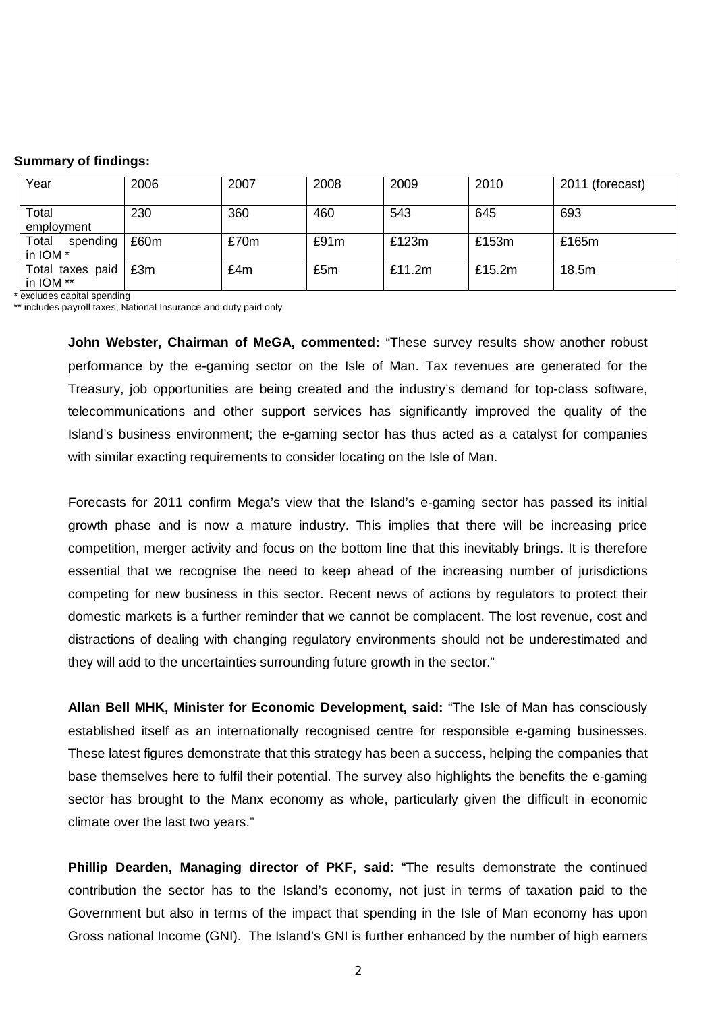## **Summary of findings:**

| Year                          | 2006 | 2007 | 2008 | 2009   | 2010   | 2011 (forecast) |
|-------------------------------|------|------|------|--------|--------|-----------------|
| Total<br>employment           | 230  | 360  | 460  | 543    | 645    | 693             |
| Total<br>spending<br>in IOM * | £60m | £70m | £91m | £123m  | £153m  | £165m           |
| Total taxes paid<br>in IOM ** | £3m  | £4m  | £5m  | £11.2m | £15.2m | 18.5m           |

\* excludes capital spending

\*\* includes payroll taxes, National Insurance and duty paid only

**John Webster, Chairman of MeGA, commented:** "These survey results show another robust performance by the e-gaming sector on the Isle of Man. Tax revenues are generated for the Treasury, job opportunities are being created and the industry's demand for top-class software, telecommunications and other support services has significantly improved the quality of the Island's business environment; the e-gaming sector has thus acted as a catalyst for companies with similar exacting requirements to consider locating on the Isle of Man.

Forecasts for 2011 confirm Mega's view that the Island's e-gaming sector has passed its initial growth phase and is now a mature industry. This implies that there will be increasing price competition, merger activity and focus on the bottom line that this inevitably brings. It is therefore essential that we recognise the need to keep ahead of the increasing number of jurisdictions competing for new business in this sector. Recent news of actions by regulators to protect their domestic markets is a further reminder that we cannot be complacent. The lost revenue, cost and distractions of dealing with changing regulatory environments should not be underestimated and they will add to the uncertainties surrounding future growth in the sector."

**Allan Bell MHK, Minister for Economic Development, said:** "The Isle of Man has consciously established itself as an internationally recognised centre for responsible e-gaming businesses. These latest figures demonstrate that this strategy has been a success, helping the companies that base themselves here to fulfil their potential. The survey also highlights the benefits the e-gaming sector has brought to the Manx economy as whole, particularly given the difficult in economic climate over the last two years."

**Phillip Dearden, Managing director of PKF, said**: "The results demonstrate the continued contribution the sector has to the Island's economy, not just in terms of taxation paid to the Government but also in terms of the impact that spending in the Isle of Man economy has upon Gross national Income (GNI). The Island's GNI is further enhanced by the number of high earners